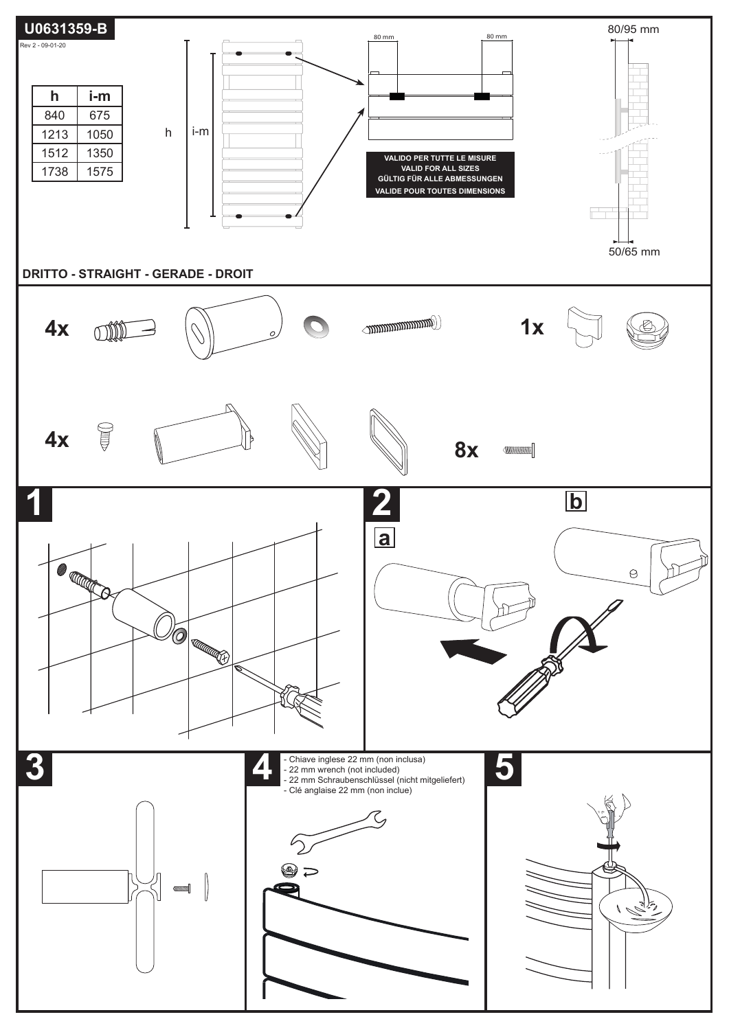